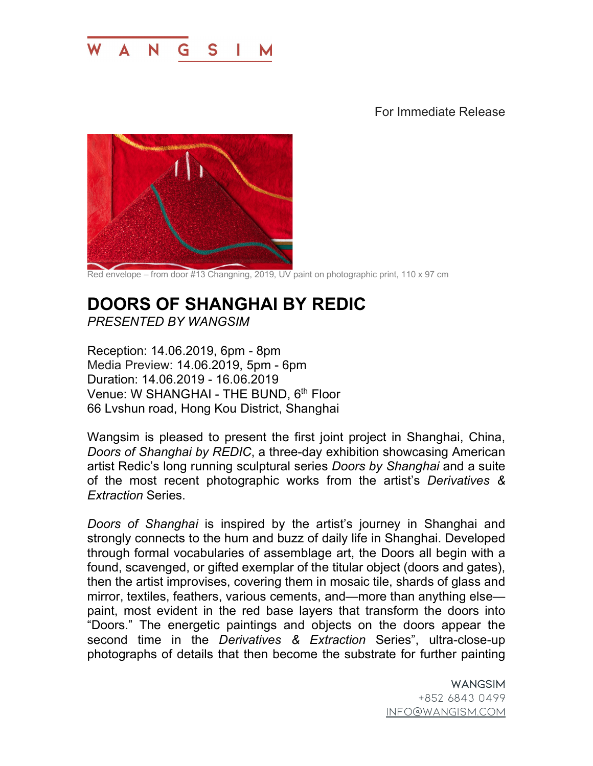

For Immediate Release



Red envelope – from door #13 Changning, 2019, UV paint on photographic print, 110 x 97 cm

## **DOORS OF SHANGHAI BY REDIC**  *PRESENTED BY WANGSIM*

Reception: 14.06.2019, 6pm - 8pm Media Preview: 14.06.2019, 5pm - 6pm Duration: 14.06.2019 - 16.06.2019 Venue: W SHANGHAI - THE BUND, 6<sup>th</sup> Floor 66 Lvshun road, Hong Kou District, Shanghai

Wangsim is pleased to present the first joint project in Shanghai, China, *Doors of Shanghai by REDIC*, a three-day exhibition showcasing American artist Redic's long running sculptural series *Doors by Shanghai* and a suite of the most recent photographic works from the artist's *Derivatives & Extraction* Series.

*Doors of Shanghai* is inspired by the artist's journey in Shanghai and strongly connects to the hum and buzz of daily life in Shanghai. Developed through formal vocabularies of assemblage art, the Doors all begin with a found, scavenged, or gifted exemplar of the titular object (doors and gates), then the artist improvises, covering them in mosaic tile, shards of glass and mirror, textiles, feathers, various cements, and—more than anything else paint, most evident in the red base layers that transform the doors into "Doors." The energetic paintings and objects on the doors appear the second time in the *Derivatives & Extraction* Series", ultra-close-up photographs of details that then become the substrate for further painting

> WANGSIM +852 6843 0499 info@wangism.com